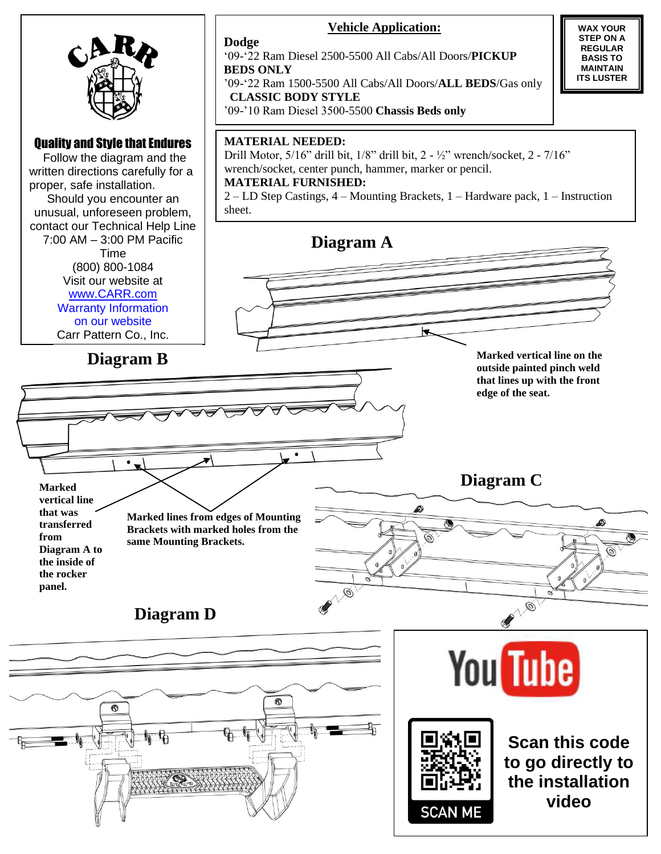